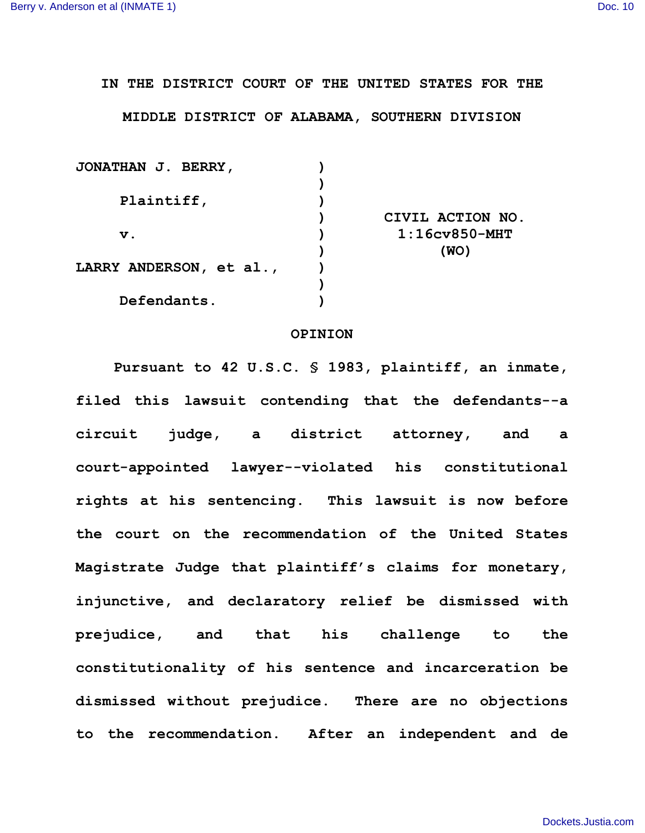**IN THE DISTRICT COURT OF THE UNITED STATES FOR THE**

**MIDDLE DISTRICT OF ALABAMA, SOUTHERN DIVISION**

| <b>JONATHAN J. BERRY,</b> |                  |
|---------------------------|------------------|
|                           |                  |
| Plaintiff,                |                  |
|                           | CIVIL ACTION NO. |
| $\mathbf v$ .             | $1:16cv850-MHT$  |
|                           | (WO)             |
| LARRY ANDERSON, et al.,   |                  |
|                           |                  |
| Defendants.               |                  |
|                           |                  |

## **OPINION**

**Pursuant to 42 U.S.C. § 1983, plaintiff, an inmate, filed this lawsuit contending that the defendants--a circuit judge, a district attorney, and a court-appointed lawyer--violated his constitutional rights at his sentencing. This lawsuit is now before the court on the recommendation of the United States Magistrate Judge that plaintiff's claims for monetary, injunctive, and declaratory relief be dismissed with prejudice, and that his challenge to the constitutionality of his sentence and incarceration be dismissed without prejudice. There are no objections to the recommendation. After an independent and de**